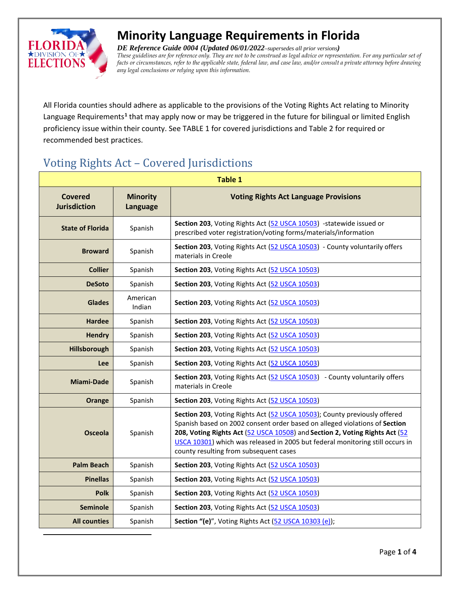

<span id="page-0-0"></span> $\overline{a}$ 

# **Minority Language Requirements in Florida**

*DE Reference Guide 0004 (Updated 06/01/2022–supersedes all prior versions) These guidelines are for reference only. They are not to be construed as legal advice or representation. For any particular set of facts or circumstances, refer to the applicable state, federal law, and case law, and/or consult a private attorney before drawing any legal conclusions or relying upon this information.*

All Florida counties should adhere as applicable to the provisions of the Voting Rights Act relating to Minority Language Requirements**[1](#page-0-0)** that may apply now or may be triggered in the future for bilingual or limited English proficiency issue within their county. See TABLE 1 for covered jurisdictions and Table 2 for required or recommended best practices.

## Voting Rights Act – Covered Jurisdictions

| <b>Table 1</b>                        |                             |                                                                                                                                                                                                                                                                                                                                                                   |
|---------------------------------------|-----------------------------|-------------------------------------------------------------------------------------------------------------------------------------------------------------------------------------------------------------------------------------------------------------------------------------------------------------------------------------------------------------------|
| <b>Covered</b><br><b>Jurisdiction</b> | <b>Minority</b><br>Language | <b>Voting Rights Act Language Provisions</b>                                                                                                                                                                                                                                                                                                                      |
| <b>State of Florida</b>               | Spanish                     | Section 203, Voting Rights Act (52 USCA 10503) - statewide issued or<br>prescribed voter registration/voting forms/materials/information                                                                                                                                                                                                                          |
| <b>Broward</b>                        | Spanish                     | Section 203, Voting Rights Act (52 USCA 10503) - County voluntarily offers<br>materials in Creole                                                                                                                                                                                                                                                                 |
| <b>Collier</b>                        | Spanish                     | Section 203, Voting Rights Act (52 USCA 10503)                                                                                                                                                                                                                                                                                                                    |
| <b>DeSoto</b>                         | Spanish                     | Section 203, Voting Rights Act (52 USCA 10503)                                                                                                                                                                                                                                                                                                                    |
| <b>Glades</b>                         | American<br>Indian          | Section 203, Voting Rights Act (52 USCA 10503)                                                                                                                                                                                                                                                                                                                    |
| <b>Hardee</b>                         | Spanish                     | Section 203, Voting Rights Act (52 USCA 10503)                                                                                                                                                                                                                                                                                                                    |
| <b>Hendry</b>                         | Spanish                     | Section 203, Voting Rights Act (52 USCA 10503)                                                                                                                                                                                                                                                                                                                    |
| Hillsborough                          | Spanish                     | Section 203, Voting Rights Act (52 USCA 10503)                                                                                                                                                                                                                                                                                                                    |
| <b>Lee</b>                            | Spanish                     | Section 203, Voting Rights Act (52 USCA 10503)                                                                                                                                                                                                                                                                                                                    |
| <b>Miami-Dade</b>                     | Spanish                     | Section 203, Voting Rights Act (52 USCA 10503) - County voluntarily offers<br>materials in Creole                                                                                                                                                                                                                                                                 |
| Orange                                | Spanish                     | Section 203, Voting Rights Act (52 USCA 10503)                                                                                                                                                                                                                                                                                                                    |
| <b>Osceola</b>                        | Spanish                     | Section 203, Voting Rights Act (52 USCA 10503); County previously offered<br>Spanish based on 2002 consent order based on alleged violations of Section<br>208, Voting Rights Act (52 USCA 10508) and Section 2, Voting Rights Act (52<br>USCA 10301) which was released in 2005 but federal monitoring still occurs in<br>county resulting from subsequent cases |
| <b>Palm Beach</b>                     | Spanish                     | Section 203, Voting Rights Act (52 USCA 10503)                                                                                                                                                                                                                                                                                                                    |
| <b>Pinellas</b>                       | Spanish                     | Section 203, Voting Rights Act (52 USCA 10503)                                                                                                                                                                                                                                                                                                                    |
| <b>Polk</b>                           | Spanish                     | Section 203, Voting Rights Act (52 USCA 10503)                                                                                                                                                                                                                                                                                                                    |
| <b>Seminole</b>                       | Spanish                     | Section 203, Voting Rights Act (52 USCA 10503)                                                                                                                                                                                                                                                                                                                    |
| <b>All counties</b>                   | Spanish                     | Section "(e)", Voting Rights Act (52 USCA 10303 (e));                                                                                                                                                                                                                                                                                                             |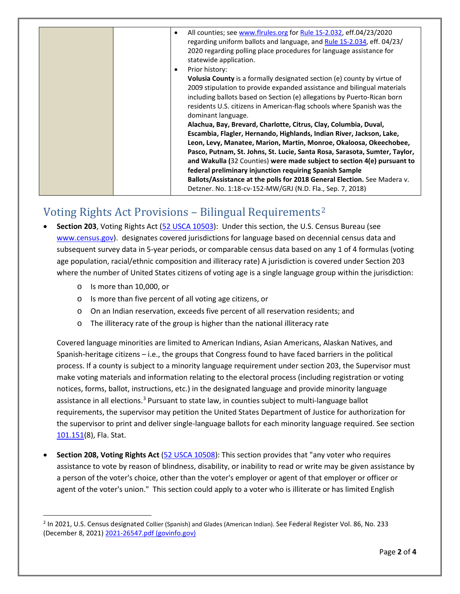|  | All counties; see www.flrules.org for Rule 1S-2.032, eff.04/23/2020<br>٠<br>regarding uniform ballots and language, and Rule 15-2.034, eff. 04/23/<br>2020 regarding polling place procedures for language assistance for<br>statewide application.<br>Prior history:<br><b>Volusia County</b> is a formally designated section (e) county by virtue of<br>2009 stipulation to provide expanded assistance and bilingual materials<br>including ballots based on Section (e) allegations by Puerto-Rican born<br>residents U.S. citizens in American-flag schools where Spanish was the<br>dominant language.<br>Alachua, Bay, Brevard, Charlotte, Citrus, Clay, Columbia, Duval,<br>Escambia, Flagler, Hernando, Highlands, Indian River, Jackson, Lake,<br>Leon, Levy, Manatee, Marion, Martin, Monroe, Okaloosa, Okeechobee,<br>Pasco, Putnam, St. Johns, St. Lucie, Santa Rosa, Sarasota, Sumter, Taylor,<br>and Wakulla (32 Counties) were made subject to section 4(e) pursuant to |
|--|------------------------------------------------------------------------------------------------------------------------------------------------------------------------------------------------------------------------------------------------------------------------------------------------------------------------------------------------------------------------------------------------------------------------------------------------------------------------------------------------------------------------------------------------------------------------------------------------------------------------------------------------------------------------------------------------------------------------------------------------------------------------------------------------------------------------------------------------------------------------------------------------------------------------------------------------------------------------------------------|
|  | federal preliminary injunction requiring Spanish Sample<br>Ballots/Assistance at the polls for 2018 General Election. See Madera v.<br>Detzner. No. 1:18-cv-152-MW/GRJ (N.D. Fla., Sep. 7, 2018)                                                                                                                                                                                                                                                                                                                                                                                                                                                                                                                                                                                                                                                                                                                                                                                         |
|  |                                                                                                                                                                                                                                                                                                                                                                                                                                                                                                                                                                                                                                                                                                                                                                                                                                                                                                                                                                                          |

#### Voting Rights Act Provisions – Bilingual Requirements[2](#page-1-0)

- **Section 203**, Voting Rights Act [\(52 USCA 10503\)](http://uscode.house.gov/view.xhtml?req=(title:52%20section:10503%20edition:prelim)): Under this section, the U.S. Census Bureau (see [www.census.gov\)](http://www.census.gov/). designates covered jurisdictions for language based on decennial census data and subsequent survey data in 5-year periods, or comparable census data based on any 1 of 4 formulas (voting age population, racial/ethnic composition and illiteracy rate) A jurisdiction is covered under Section 203 where the number of United States citizens of voting age is a single language group within the jurisdiction:
	- o Is more than 10,000, or
	- o Is more than five percent of all voting age citizens, or
	- o On an Indian reservation, exceeds five percent of all reservation residents; and
	- o The illiteracy rate of the group is higher than the national illiteracy rate

Covered language minorities are limited to American Indians, Asian Americans, Alaskan Natives, and Spanish-heritage citizens – i.e., the groups that Congress found to have faced barriers in the political process. If a county is subject to a minority language requirement under section 203, the Supervisor must make voting materials and information relating to the electoral process (including registration or voting notices, forms, ballot, instructions, etc.) in the designated language and provide minority language assistance in all elections.<sup>[3](#page-1-1)</sup> Pursuant to state law, in counties subject to multi-language ballot requirements, the supervisor may petition the United States Department of Justice for authorization for the supervisor to print and deliver single-language ballots for each minority language required. See section [101.151\(](http://www.leg.state.fl.us/Statutes/index.cfm?App_mode=Display_Statute&Search_String=&URL=0100-0199/0101/Sections/0101.151.html)8), Fla. Stat.

• **Section 208, Voting Rights Act** [\(52 USCA 10508\)](http://uscode.house.gov/view.xhtml?hl=false&edition=prelim&req=granuleid%3AUSC-prelim-title52-section10508&num=0&saved=%7CKHRpdGxlOjUyIHNlY3Rpb246MTA1MDMgZWRpdGlvbjpwcmVsaW0p%7C%7C%7C0%7Cfalse%7Cprelim): This section provides that "any voter who requires assistance to vote by reason of blindness, disability, or inability to read or write may be given assistance by a person of the voter's choice, other than the voter's employer or agent of that employer or officer or agent of the voter's union." This section could apply to a voter who is illiterate or has limited English

<span id="page-1-1"></span><span id="page-1-0"></span><sup>&</sup>lt;sup>2</sup> In 2021, U.S. Census designated Collier (Spanish) and Glades (American Indian). See Federal Register Vol. 86, No. 233 (December 8, 2021[\) 2021-26547.pdf \(govinfo.gov\)](https://www.govinfo.gov/content/pkg/FR-2021-12-08/pdf/2021-26547.pdf)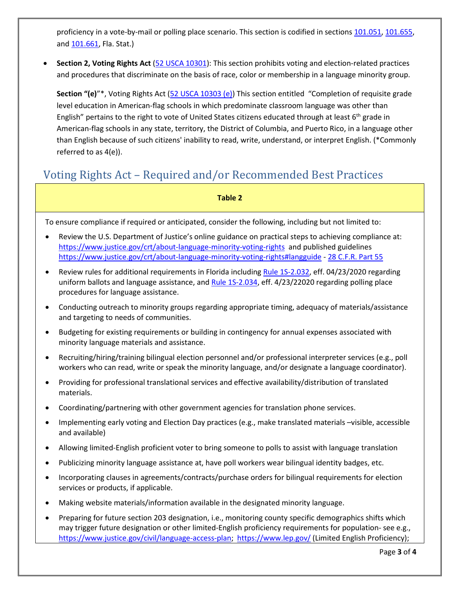proficiency in a vote-by-mail or polling place scenario. This section is codified in section[s 101.051,](http://www.leg.state.fl.us/statutes/index.cfm?mode=View%20Statutes&SubMenu=1&App_mode=Display_Statute&Search_String=101.051&URL=0100-0199/0101/Sections/0101.051.html) [101.655,](http://www.leg.state.fl.us/statutes/index.cfm?mode=View%20Statutes&SubMenu=1&App_mode=Display_Statute&Search_String=101.655&URL=0100-0199/0101/Sections/0101.655.html) and [101.661,](http://www.leg.state.fl.us/statutes/index.cfm?mode=View%20Statutes&SubMenu=1&App_mode=Display_Statute&Search_String=101.661&URL=0100-0199/0101/Sections/0101.661.html) Fla. Stat.)

• **Section 2, Voting Rights Act** [\(52 USCA 10301\)](http://uscode.house.gov/view.xhtml?hl=false&edition=prelim&req=granuleid%3AUSC-prelim-title52-section10301&num=0&saved=%7CKHRpdGxlOjUyIHNlY3Rpb246MTA1MDMgZWRpdGlvbjpwcmVsaW0p%7C%7C%7C0%7Cfalse%7Cprelim): This section prohibits voting and election-related practices and procedures that discriminate on the basis of race, color or membership in a language minority group.

**Section "(e)**"\*, Voting Rights Act [\(52 USCA 10303 \(e\)\)](https://www.justice.gov/crt/title-52-voting-and-elections-subtitle-1-voting-rights-chapter-103-enforcement-voting-rights) This section entitled "Completion of requisite grade level education in American-flag schools in which predominate classroom language was other than English" pertains to the right to vote of United States citizens educated through at least  $6<sup>th</sup>$  grade in American-flag schools in any state, territory, the District of Columbia, and Puerto Rico, in a language other than English because of such citizens' inability to read, write, understand, or interpret English. (\*Commonly referred to as 4(e)).

#### Voting Rights Act – Required and/or Recommended Best Practices

**Table 2**

To ensure compliance if required or anticipated, consider the following, including but not limited to:

- Review the U.S. Department of Justice's online guidance on practical steps to achieving compliance at: <https://www.justice.gov/crt/about-language-minority-voting-rights>and published guidelines <https://www.justice.gov/crt/about-language-minority-voting-rights#langguide> - [28 C.F.R. Part 55](https://www.ecfr.gov/current/title-28/chapter-I/part-55)
- Review rules for additional requirements in Florida including [Rule 1S-2.032,](https://www.flrules.org/gateway/RuleNo.asp?title=ELECTIONS&ID=1S-2.032) eff. 04/23/2020 regarding uniform ballots and language assistance, an[d Rule 1S-2.034,](https://www.flrules.org/gateway/RuleNo.asp?title=ELECTIONS&ID=1S-2.034) eff. 4/23/22020 regarding polling place procedures for language assistance.
- Conducting outreach to minority groups regarding appropriate timing, adequacy of materials/assistance and targeting to needs of communities.
- Budgeting for existing requirements or building in contingency for annual expenses associated with minority language materials and assistance.
- Recruiting/hiring/training bilingual election personnel and/or professional interpreter services (e.g., poll workers who can read, write or speak the minority language, and/or designate a language coordinator).
- Providing for professional translational services and effective availability/distribution of translated materials.
- Coordinating/partnering with other government agencies for translation phone services.
- Implementing early voting and Election Day practices (e.g., make translated materials –visible, accessible and available)
- Allowing limited-English proficient voter to bring someone to polls to assist with language translation
- Publicizing minority language assistance at, have poll workers wear bilingual identity badges, etc.
- Incorporating clauses in agreements/contracts/purchase orders for bilingual requirements for election services or products, if applicable.
- Making website materials/information available in the designated minority language.
- Preparing for future section 203 designation, i.e., monitoring county specific demographics shifts which may trigger future designation or other limited-English proficiency requirements for population- see e.g., [https://www.justice.gov/civil/language-access-plan;](https://www.justice.gov/civil/language-access-plan) <https://www.lep.gov/> (Limited English Proficiency);